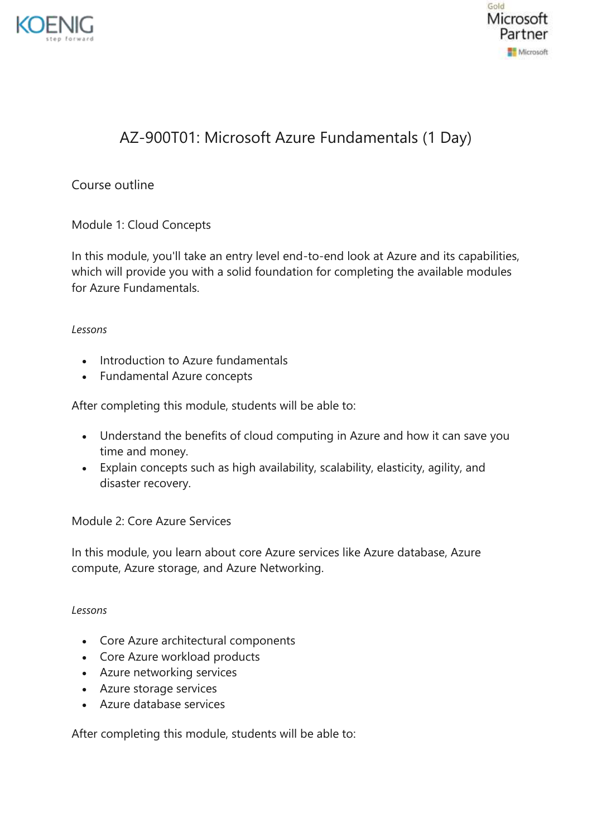



# AZ-900T01: Microsoft Azure Fundamentals (1 Day)

Course outline

Module 1: Cloud Concepts

In this module, you'll take an entry level end-to-end look at Azure and its capabilities, which will provide you with a solid foundation for completing the available modules for Azure Fundamentals.

#### *Lessons*

- Introduction to Azure fundamentals
- Fundamental Azure concepts

After completing this module, students will be able to:

- Understand the benefits of cloud computing in Azure and how it can save you time and money.
- Explain concepts such as high availability, scalability, elasticity, agility, and disaster recovery.

#### Module 2: Core Azure Services

In this module, you learn about core Azure services like Azure database, Azure compute, Azure storage, and Azure Networking.

#### *Lessons*

- Core Azure architectural components
- Core Azure workload products
- Azure networking services
- Azure storage services
- Azure database services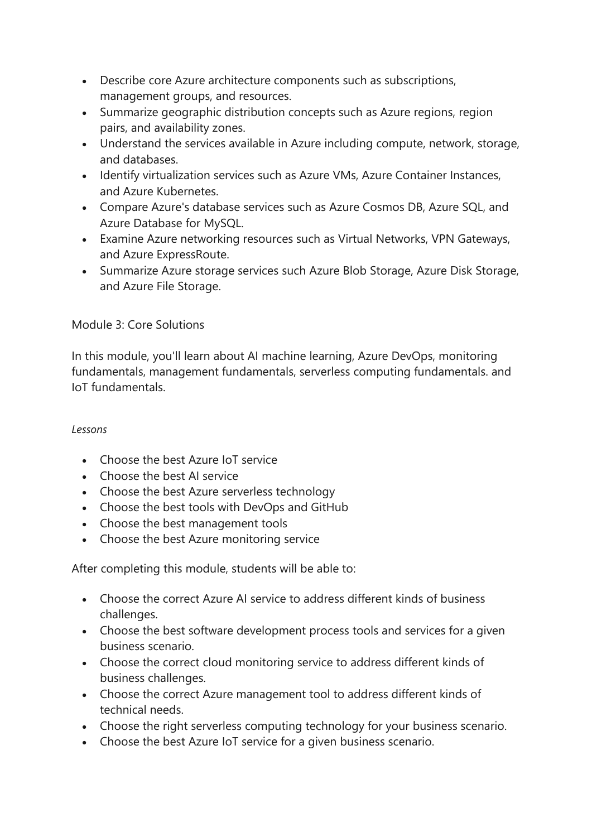- Describe core Azure architecture components such as subscriptions, management groups, and resources.
- Summarize geographic distribution concepts such as Azure regions, region pairs, and availability zones.
- Understand the services available in Azure including compute, network, storage, and databases.
- Identify virtualization services such as Azure VMs, Azure Container Instances, and Azure Kubernetes.
- Compare Azure's database services such as Azure Cosmos DB, Azure SQL, and Azure Database for MySQL.
- Examine Azure networking resources such as Virtual Networks, VPN Gateways, and Azure ExpressRoute.
- Summarize Azure storage services such Azure Blob Storage, Azure Disk Storage, and Azure File Storage.

## Module 3: Core Solutions

In this module, you'll learn about AI machine learning, Azure DevOps, monitoring fundamentals, management fundamentals, serverless computing fundamentals. and IoT fundamentals.

#### *Lessons*

- Choose the best Azure IoT service
- Choose the best AI service
- Choose the best Azure serverless technology
- Choose the best tools with DevOps and GitHub
- Choose the best management tools
- Choose the best Azure monitoring service

- Choose the correct Azure AI service to address different kinds of business challenges.
- Choose the best software development process tools and services for a given business scenario.
- Choose the correct cloud monitoring service to address different kinds of business challenges.
- Choose the correct Azure management tool to address different kinds of technical needs.
- Choose the right serverless computing technology for your business scenario.
- Choose the best Azure IoT service for a given business scenario.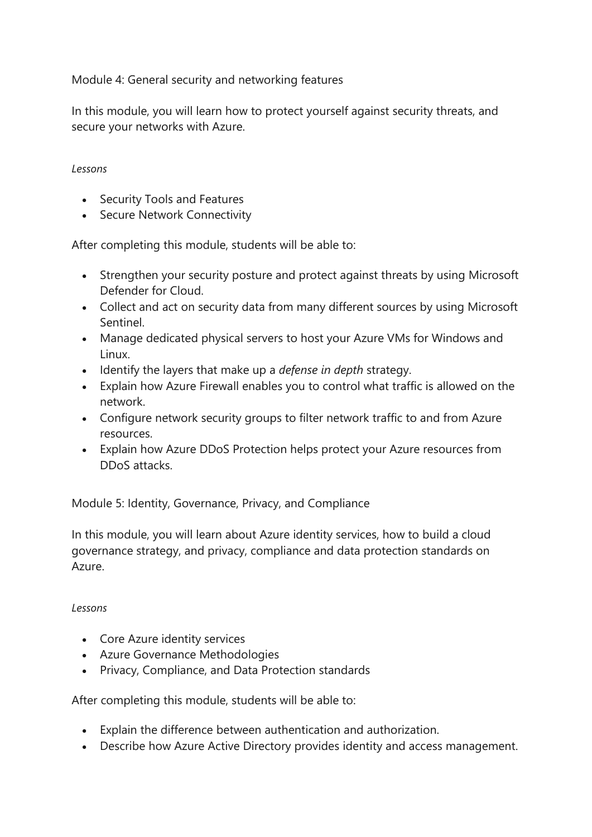Module 4: General security and networking features

In this module, you will learn how to protect yourself against security threats, and secure your networks with Azure.

### *Lessons*

- Security Tools and Features
- Secure Network Connectivity

After completing this module, students will be able to:

- Strengthen your security posture and protect against threats by using Microsoft Defender for Cloud.
- Collect and act on security data from many different sources by using Microsoft Sentinel.
- Manage dedicated physical servers to host your Azure VMs for Windows and Linux.
- Identify the layers that make up a *defense in depth* strategy.
- Explain how Azure Firewall enables you to control what traffic is allowed on the network.
- Configure network security groups to filter network traffic to and from Azure resources.
- Explain how Azure DDoS Protection helps protect your Azure resources from DDoS attacks.

Module 5: Identity, Governance, Privacy, and Compliance

In this module, you will learn about Azure identity services, how to build a cloud governance strategy, and privacy, compliance and data protection standards on Azure.

## *Lessons*

- Core Azure identity services
- Azure Governance Methodologies
- Privacy, Compliance, and Data Protection standards

- Explain the difference between authentication and authorization.
- Describe how Azure Active Directory provides identity and access management.